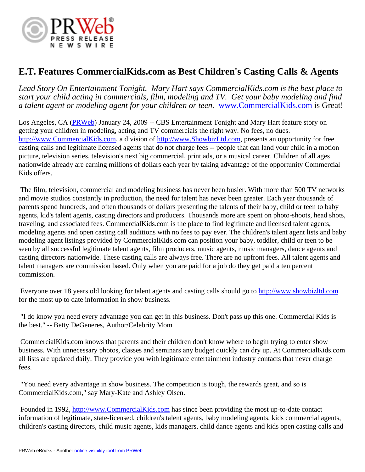

## **E.T. Features CommercialKids.com as Best Children's Casting Calls & Agents**

*Lead Story On Entertainment Tonight. Mary Hart says CommercialKids.com is the best place to start your child acting in commercials, film, modeling and TV. Get your baby modeling and find a talent agent or modeling agent for your children or teen.* [www.CommercialKids.com](http://www.CommercialKids.com) is Great!

Los Angeles, CA [\(PRWeb](http://www.prweb.com)) January 24, 2009 -- CBS Entertainment Tonight and Mary Hart feature story on getting your children in modeling, acting and TV commercials the right way. No fees, no dues. [http://www.CommercialKids.com,](http://www.CommercialKids.com) a division of [http://www.ShowbizLtd.com,](http://www.ShowbizLtd.com) presents an opportunity for free casting calls and legitimate licensed agents that do not charge fees -- people that can land your child in a motion picture, television series, television's next big commercial, print ads, or a musical career. Children of all ages nationwide already are earning millions of dollars each year by taking advantage of the opportunity Commercial Kids offers.

 The film, television, commercial and modeling business has never been busier. With more than 500 TV networks and movie studios constantly in production, the need for talent has never been greater. Each year thousands of parents spend hundreds, and often thousands of dollars presenting the talents of their baby, child or teen to baby agents, kid's talent agents, casting directors and producers. Thousands more are spent on photo-shoots, head shots, traveling, and associated fees. CommercialKids.com is the place to find legitimate and licensed talent agents, modeling agents and open casting call auditions with no fees to pay ever. The children's talent agent lists and baby modeling agent listings provided by CommercialKids.com can position your baby, toddler, child or teen to be seen by all successful legitimate talent agents, film producers, music agents, music managers, dance agents and casting directors nationwide. These casting calls are always free. There are no upfront fees. All talent agents and talent managers are commission based. Only when you are paid for a job do they get paid a ten percent commission.

 Everyone over 18 years old looking for talent agents and casting calls should go to <http://www.showbizltd.com> for the most up to date information in show business.

 "I do know you need every advantage you can get in this business. Don't pass up this one. Commercial Kids is the best." -- Betty DeGeneres, Author/Celebrity Mom

 CommercialKids.com knows that parents and their children don't know where to begin trying to enter show business. With unnecessary photos, classes and seminars any budget quickly can dry up. At CommercialKids.com all lists are updated daily. They provide you with legitimate entertainment industry contacts that never charge fees.

 "You need every advantage in show business. The competition is tough, the rewards great, and so is CommercialKids.com," say Mary-Kate and Ashley Olsen.

 Founded in 1992, <http://www.CommercialKids.com>has since been providing the most up-to-date contact information of legitimate, state-licensed, children's talent agents, baby modeling agents, kids commercial agents, children's casting directors, child music agents, kids managers, child dance agents and kids open casting calls and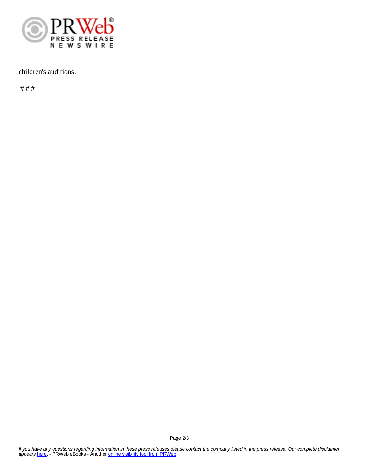

## children's auditions.

# # #